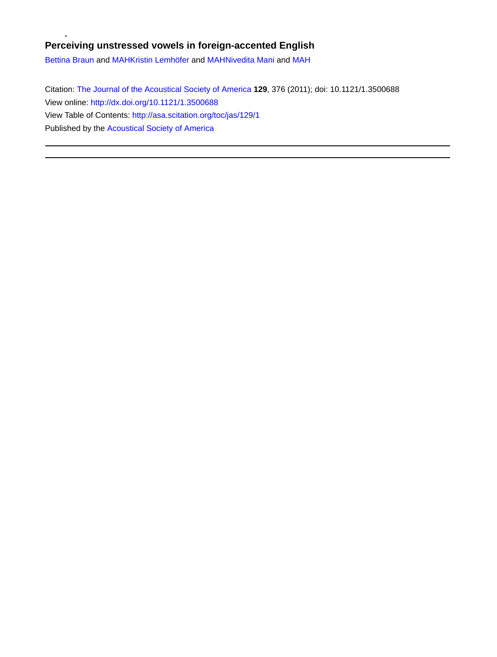# **Perceiving unstressed vowels in foreign-accented English**

[Bettina Braun](http://asa.scitation.org/author/Braun%2C+Bettina) and [MAH](http://asa.scitation.org/author/MAH)[Kristin Lemhöfer](http://asa.scitation.org/author/Lemh%C3%B6fer%2C+Kristin) and [MAH](http://asa.scitation.org/author/MAH)[Nivedita Mani](http://asa.scitation.org/author/Mani%2C+Nivedita) and [MAH](http://asa.scitation.org/author/MAH)

Citation: [The Journal of the Acoustical Society of America](/loi/jas) **129**, 376 (2011); doi: 10.1121/1.3500688 View online: <http://dx.doi.org/10.1121/1.3500688> View Table of Contents: <http://asa.scitation.org/toc/jas/129/1> Published by the [Acoustical Society of America](http://asa.scitation.org/publisher/)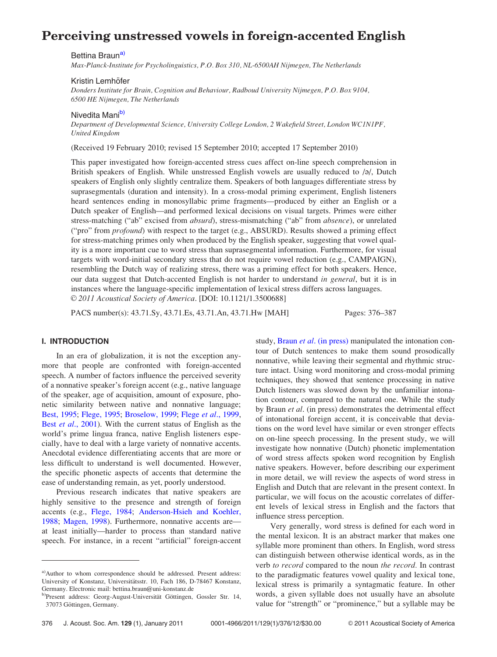# Perceiving unstressed vowels in foreign-accented English

# Bettina Braun<sup>a)</sup>

Max-Planck-Institute for Psycholinguistics, P.O. Box 310, NL-6500AH Nijmegen, The Netherlands

#### Kristin Lemhöfer

Donders Institute for Brain, Cognition and Behaviour, Radboud University Nijmegen, P.O. Box 9104, 6500 HE Nijmegen, The Netherlands

### Nivedita Mani<sup>b)</sup>

Department of Developmental Science, University College London, 2 Wakefield Street, London WC1N1PF, United Kingdom

(Received 19 February 2010; revised 15 September 2010; accepted 17 September 2010)

This paper investigated how foreign-accented stress cues affect on-line speech comprehension in British speakers of English. While unstressed English vowels are usually reduced to  $\sqrt{a}$ , Dutch speakers of English only slightly centralize them. Speakers of both languages differentiate stress by suprasegmentals (duration and intensity). In a cross-modal priming experiment, English listeners heard sentences ending in monosyllabic prime fragments—produced by either an English or a Dutch speaker of English—and performed lexical decisions on visual targets. Primes were either stress-matching ("ab" excised from *absurd*), stress-mismatching ("ab" from *absence*), or unrelated ("pro" from profound) with respect to the target (e.g., ABSURD). Results showed a priming effect for stress-matching primes only when produced by the English speaker, suggesting that vowel quality is a more important cue to word stress than suprasegmental information. Furthermore, for visual targets with word-initial secondary stress that do not require vowel reduction (e.g., CAMPAIGN), resembling the Dutch way of realizing stress, there was a priming effect for both speakers. Hence, our data suggest that Dutch-accented English is not harder to understand in general, but it is in instances where the language-specific implementation of lexical stress differs across languages. V<sup>C</sup> 2011 Acoustical Society of America. [DOI: 10.1121/1.3500688]

PACS number(s): 43.71.Sy, 43.71.Es, 43.71.An, 43.71.Hw [MAH] Pages: 376–387

### I. INTRODUCTION

In an era of globalization, it is not the exception anymore that people are confronted with foreign-accented speech. A number of factors influence the perceived severity of a nonnative speaker's foreign accent (e.g., native language of the speaker, age of acquisition, amount of exposure, phonetic similarity between native and nonnative language; [Best, 1995;](#page-12-0) [Flege, 1995](#page-12-0); [Broselow, 1999;](#page-12-0) Flege et al[., 1999](#page-12-0), Best *et al.*, 2001). With the current status of English as the world's prime lingua franca, native English listeners especially, have to deal with a large variety of nonnative accents. Anecdotal evidence differentiating accents that are more or less difficult to understand is well documented. However, the specific phonetic aspects of accents that determine the ease of understanding remain, as yet, poorly understood.

Previous research indicates that native speakers are highly sensitive to the presence and strength of foreign accents (e.g., [Flege, 1984;](#page-12-0) [Anderson-Hsieh and Koehler,](#page-12-0) [1988;](#page-12-0) [Magen, 1998](#page-12-0)). Furthermore, nonnative accents are at least initially—harder to process than standard native speech. For instance, in a recent "artificial" foreign-accent

study, Braun et al[. \(in press\)](#page-12-0) manipulated the intonation contour of Dutch sentences to make them sound prosodically nonnative, while leaving their segmental and rhythmic structure intact. Using word monitoring and cross-modal priming techniques, they showed that sentence processing in native Dutch listeners was slowed down by the unfamiliar intonation contour, compared to the natural one. While the study by Braun et al. (in press) demonstrates the detrimental effect of intonational foreign accent, it is conceivable that deviations on the word level have similar or even stronger effects on on-line speech processing. In the present study, we will investigate how nonnative (Dutch) phonetic implementation of word stress affects spoken word recognition by English native speakers. However, before describing our experiment in more detail, we will review the aspects of word stress in English and Dutch that are relevant in the present context. In particular, we will focus on the acoustic correlates of different levels of lexical stress in English and the factors that influence stress perception.

Very generally, word stress is defined for each word in the mental lexicon. It is an abstract marker that makes one syllable more prominent than others. In English, word stress can distinguish between otherwise identical words, as in the verb to record compared to the noun the record. In contrast to the paradigmatic features vowel quality and lexical tone, lexical stress is primarily a syntagmatic feature. In other words, a given syllable does not usually have an absolute value for "strength" or "prominence," but a syllable may be

a)Author to whom correspondence should be addressed. Present address: University of Konstanz, Universitätsstr. 10, Fach 186, D-78467 Konstanz, Germany. Electronic mail: bettina.braun@uni-konstanz.de

b)Present address: Georg-August-Universität Göttingen, Gossler Str. 14, 37073 Göttingen, Germany.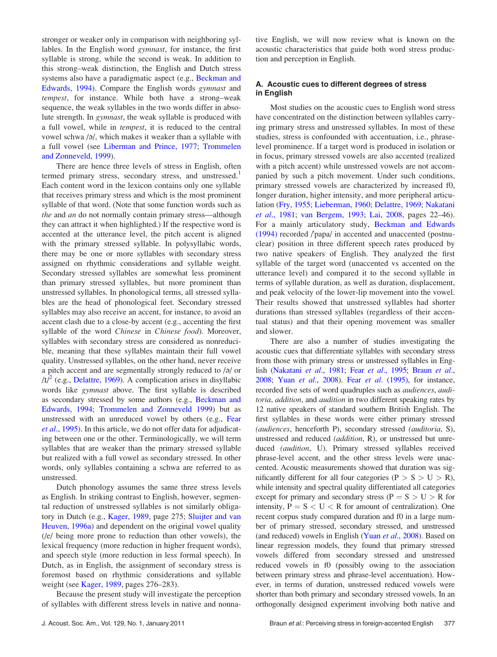stronger or weaker only in comparison with neighboring syllables. In the English word gymnast, for instance, the first syllable is strong, while the second is weak. In addition to this strong–weak distinction, the English and Dutch stress systems also have a paradigmatic aspect (e.g., [Beckman and](#page-12-0) [Edwards, 1994](#page-12-0)). Compare the English words gymnast and tempest, for instance. While both have a strong–weak sequence, the weak syllables in the two words differ in absolute strength. In gymnast, the weak syllable is produced with a full vowel, while in tempest, it is reduced to the central vowel schwa /ə/, which makes it weaker than a syllable with a full vowel (see [Liberman and Prince, 1977;](#page-12-0) [Trommelen](#page-12-0) [and Zonneveld, 1999](#page-12-0)).

There are hence three levels of stress in English, often termed primary stress, secondary stress, and unstressed.<sup>[1](#page-11-0)</sup> Each content word in the lexicon contains only one syllable that receives primary stress and which is the most prominent syllable of that word. (Note that some function words such as the and an do not normally contain primary stress—although they can attract it when highlighted.) If the respective word is accented at the utterance level, the pitch accent is aligned with the primary stressed syllable. In polysyllabic words, there may be one or more syllables with secondary stress assigned on rhythmic considerations and syllable weight. Secondary stressed syllables are somewhat less prominent than primary stressed syllables, but more prominent than unstressed syllables. In phonological terms, all stressed syllables are the head of phonological feet. Secondary stressed syllables may also receive an accent, for instance, to avoid an accent clash due to a close-by accent (e.g., accenting the first syllable of the word Chinese in Chinese food). Moreover, syllables with secondary stress are considered as nonreducible, meaning that these syllables maintain their full vowel quality. Unstressed syllables, on the other hand, never receive a pitch accent and are segmentally strongly reduced to  $\sqrt{a}$  or  $\sqrt{I/I^2}$  $\sqrt{I/I^2}$  $\sqrt{I/I^2}$  (e.g., [Delattre, 1969\)](#page-12-0). A complication arises in disyllabic words like gymnast above. The first syllable is described as secondary stressed by some authors (e.g., [Beckman and](#page-12-0) [Edwards, 1994;](#page-12-0) [Trommelen and Zonneveld 1999\)](#page-12-0) but as unstressed with an unreduced vowel by others (e.g., [Fear](#page-12-0) et al[., 1995\)](#page-12-0). In this article, we do not offer data for adjudicating between one or the other. Terminologically, we will term syllables that are weaker than the primary stressed syllable but realized with a full vowel as secondary stressed. In other words, only syllables containing a schwa are referred to as unstressed.

Dutch phonology assumes the same three stress levels as English. In striking contrast to English, however, segmental reduction of unstressed syllables is not similarly obligatory in Dutch (e.g., [Kager, 1989](#page-12-0), page 275; [Sluijter and van](#page-12-0) [Heuven, 1996a](#page-12-0)) and dependent on the original vowel quality (/e/ being more prone to reduction than other vowels), the lexical frequency (more reduction in higher frequent words), and speech style (more reduction in less formal speech). In Dutch, as in English, the assignment of secondary stress is foremost based on rhythmic considerations and syllable weight (see [Kager, 1989](#page-12-0), pages 276–283).

Because the present study will investigate the perception of syllables with different stress levels in native and nonnative English, we will now review what is known on the acoustic characteristics that guide both word stress production and perception in English.

## A. Acoustic cues to different degrees of stress in English

Most studies on the acoustic cues to English word stress have concentrated on the distinction between syllables carrying primary stress and unstressed syllables. In most of these studies, stress is confounded with accentuation, i.e., phraselevel prominence. If a target word is produced in isolation or in focus, primary stressed vowels are also accented (realized with a pitch accent) while unstressed vowels are not accompanied by such a pitch movement. Under such conditions, primary stressed vowels are characterized by increased f0, longer duration, higher intensity, and more peripheral articulation ([Fry, 1955;](#page-12-0) [Lieberman, 1960](#page-12-0); [Delattre, 1969;](#page-12-0) [Nakatani](#page-12-0) et al[., 1981;](#page-12-0) [van Bergem, 1993](#page-12-0); [Lai, 2008,](#page-12-0) pages 22–46). For a mainly articulatory study, [Beckman and Edwards](#page-12-0)  $(1994)$  recorded  $/papa/$  in accented and unaccented (postnuclear) position in three different speech rates produced by two native speakers of English. They analyzed the first syllable of the target word (unaccented vs accented on the utterance level) and compared it to the second syllable in terms of syllable duration, as well as duration, displacement, and peak velocity of the lower-lip movement into the vowel. Their results showed that unstressed syllables had shorter durations than stressed syllables (regardless of their accentual status) and that their opening movement was smaller and slower.

There are also a number of studies investigating the acoustic cues that differentiate syllables with secondary stress from those with primary stress or unstressed syllables in English ([Nakatani](#page-12-0) et al., 1981; Fear et al[., 1995;](#page-12-0) [Braun](#page-12-0) et al., [2008](#page-12-0); Yuan et al[., 2008\)](#page-12-0). Fear et al[. \(1995\),](#page-12-0) for instance, recorded five sets of word quadruples such as audiences, auditoria, addition, and audition in two different speaking rates by 12 native speakers of standard southern British English. The first syllables in these words were either primary stressed (audiences, henceforth P), secondary stressed (auditoria, S), unstressed and reduced (addition, R), or unstressed but unreduced (audition, U). Primary stressed syllables received phrase-level accent, and the other stress levels were unaccented. Acoustic measurements showed that duration was significantly different for all four categories ( $P > S > U > R$ ), while intensity and spectral quality differentiated all categories except for primary and secondary stress ( $P = S > U > R$  for intensity,  $P = S < U < R$  for amount of centralization). One recent corpus study compared duration and f0 in a large number of primary stressed, secondary stressed, and unstressed (and reduced) vowels in English (Yuan et al[., 2008\)](#page-12-0). Based on linear regression models, they found that primary stressed vowels differed from secondary stressed and unstressed reduced vowels in f0 (possibly owing to the association between primary stress and phrase-level accentuation). However, in terms of duration, unstressed reduced vowels were shorter than both primary and secondary stressed vowels. In an orthogonally designed experiment involving both native and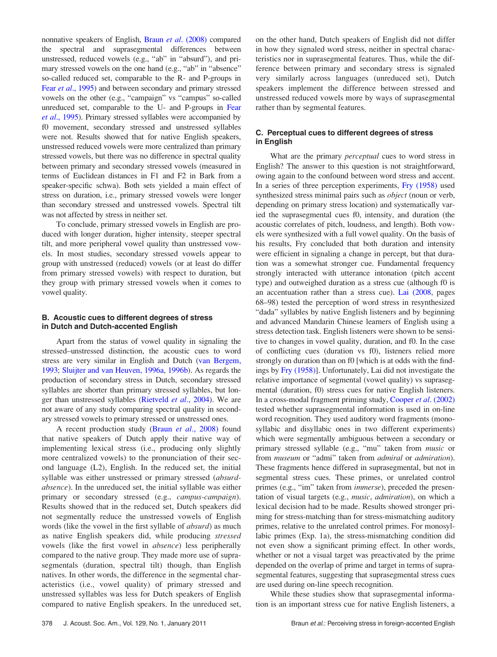nonnative speakers of English, Braun et al[. \(2008\)](#page-12-0) compared the spectral and suprasegmental differences between unstressed, reduced vowels (e.g., "ab" in "absurd"), and primary stressed vowels on the one hand (e.g., "ab" in "absence" so-called reduced set, comparable to the R- and P-groups in Fear et al[., 1995\)](#page-12-0) and between secondary and primary stressed vowels on the other (e.g., "campaign" vs "campus" so-called unreduced set, comparable to the U- and P-groups in [Fear](#page-12-0) et al[., 1995\)](#page-12-0). Primary stressed syllables were accompanied by f0 movement, secondary stressed and unstressed syllables were not. Results showed that for native English speakers, unstressed reduced vowels were more centralized than primary stressed vowels, but there was no difference in spectral quality between primary and secondary stressed vowels (measured in terms of Euclidean distances in F1 and F2 in Bark from a speaker-specific schwa). Both sets yielded a main effect of stress on duration, i.e., primary stressed vowels were longer than secondary stressed and unstressed vowels. Spectral tilt was not affected by stress in neither set.

To conclude, primary stressed vowels in English are produced with longer duration, higher intensity, steeper spectral tilt, and more peripheral vowel quality than unstressed vowels. In most studies, secondary stressed vowels appear to group with unstressed (reduced) vowels (or at least do differ from primary stressed vowels) with respect to duration, but they group with primary stressed vowels when it comes to vowel quality.

## B. Acoustic cues to different degrees of stress in Dutch and Dutch-accented English

Apart from the status of vowel quality in signaling the stressed–unstressed distinction, the acoustic cues to word stress are very similar in English and Dutch ([van Bergem,](#page-12-0) [1993](#page-12-0); [Sluijter and van Heuven, 1996a,](#page-12-0) [1996b](#page-12-0)). As regards the production of secondary stress in Dutch, secondary stressed syllables are shorter than primary stressed syllables, but lon-ger than unstressed syllables [\(Rietveld](#page-12-0) et al., 2004). We are not aware of any study comparing spectral quality in secondary stressed vowels to primary stressed or unstressed ones.

A recent production study (Braun et al[., 2008\)](#page-12-0) found that native speakers of Dutch apply their native way of implementing lexical stress (i.e., producing only slightly more centralized vowels) to the pronunciation of their second language (L2), English. In the reduced set, the initial syllable was either unstressed or primary stressed (absurdabsence). In the unreduced set, the initial syllable was either primary or secondary stressed (e.g., *campus-campaign*). Results showed that in the reduced set, Dutch speakers did not segmentally reduce the unstressed vowels of English words (like the vowel in the first syllable of absurd) as much as native English speakers did, while producing stressed vowels (like the first vowel in absence) less peripherally compared to the native group. They made more use of suprasegmentals (duration, spectral tilt) though, than English natives. In other words, the difference in the segmental characteristics (i.e., vowel quality) of primary stressed and unstressed syllables was less for Dutch speakers of English compared to native English speakers. In the unreduced set,

on the other hand, Dutch speakers of English did not differ in how they signaled word stress, neither in spectral characteristics nor in suprasegmental features. Thus, while the difference between primary and secondary stress is signaled very similarly across languages (unreduced set), Dutch speakers implement the difference between stressed and unstressed reduced vowels more by ways of suprasegmental rather than by segmental features.

# C. Perceptual cues to different degrees of stress in English

What are the primary *perceptual* cues to word stress in English? The answer to this question is not straightforward, owing again to the confound between word stress and accent. In a series of three perception experiments, [Fry \(1958\)](#page-12-0) used synthesized stress minimal pairs such as object (noun or verb, depending on primary stress location) and systematically varied the suprasegmental cues f0, intensity, and duration (the acoustic correlates of pitch, loudness, and length). Both vowels were synthesized with a full vowel quality. On the basis of his results, Fry concluded that both duration and intensity were efficient in signaling a change in percept, but that duration was a somewhat stronger cue. Fundamental frequency strongly interacted with utterance intonation (pitch accent type) and outweighed duration as a stress cue (although f0 is an accentuation rather than a stress cue). [Lai \(2008](#page-12-0), pages 68–98) tested the perception of word stress in resynthesized "dada" syllables by native English listeners and by beginning and advanced Mandarin Chinese learners of English using a stress detection task. English listeners were shown to be sensitive to changes in vowel quality, duration, and f0. In the case of conflicting cues (duration vs f0), listeners relied more strongly on duration than on f0 [which is at odds with the findings by [Fry \(1958\)\]](#page-12-0). Unfortunately, Lai did not investigate the relative importance of segmental (vowel quality) vs suprasegmental (duration, f0) stress cues for native English listeners. In a cross-modal fragment priming study, Cooper et al[. \(2002\)](#page-12-0) tested whether suprasegmental information is used in on-line word recognition. They used auditory word fragments (monosyllabic and disyllabic ones in two different experiments) which were segmentally ambiguous between a secondary or primary stressed syllable (e.g., "mu" taken from music or from *museum* or "admi" taken from *admiral* or *admiration*). These fragments hence differed in suprasegmental, but not in segmental stress cues. These primes, or unrelated control primes (e.g., "im" taken from immerse), preceded the presentation of visual targets (e.g., music, admiration), on which a lexical decision had to be made. Results showed stronger priming for stress-matching than for stress-mismatching auditory primes, relative to the unrelated control primes. For monosyllabic primes (Exp. 1a), the stress-mismatching condition did not even show a significant priming effect. In other words, whether or not a visual target was preactivated by the prime depended on the overlap of prime and target in terms of suprasegmental features, suggesting that suprasegmental stress cues are used during on-line speech recognition.

While these studies show that suprasegmental information is an important stress cue for native English listeners, a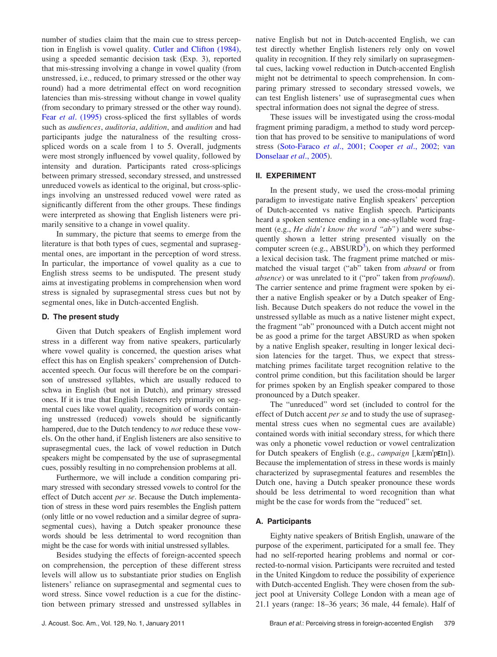number of studies claim that the main cue to stress perception in English is vowel quality. [Cutler and Clifton \(1984\),](#page-12-0) using a speeded semantic decision task (Exp. 3), reported that mis-stressing involving a change in vowel quality (from unstressed, i.e., reduced, to primary stressed or the other way round) had a more detrimental effect on word recognition latencies than mis-stressing without change in vowel quality (from secondary to primary stressed or the other way round). Fear *et al.* (1995) cross-spliced the first syllables of words such as audiences, auditoria, addition, and audition and had participants judge the naturalness of the resulting crossspliced words on a scale from 1 to 5. Overall, judgments were most strongly influenced by vowel quality, followed by intensity and duration. Participants rated cross-splicings between primary stressed, secondary stressed, and unstressed unreduced vowels as identical to the original, but cross-splicings involving an unstressed reduced vowel were rated as significantly different from the other groups. These findings were interpreted as showing that English listeners were primarily sensitive to a change in vowel quality.

In summary, the picture that seems to emerge from the literature is that both types of cues, segmental and suprasegmental ones, are important in the perception of word stress. In particular, the importance of vowel quality as a cue to English stress seems to be undisputed. The present study aims at investigating problems in comprehension when word stress is signaled by suprasegmental stress cues but not by segmental ones, like in Dutch-accented English.

## D. The present study

Given that Dutch speakers of English implement word stress in a different way from native speakers, particularly where vowel quality is concerned, the question arises what effect this has on English speakers' comprehension of Dutchaccented speech. Our focus will therefore be on the comparison of unstressed syllables, which are usually reduced to schwa in English (but not in Dutch), and primary stressed ones. If it is true that English listeners rely primarily on segmental cues like vowel quality, recognition of words containing unstressed (reduced) vowels should be significantly hampered, due to the Dutch tendency to *not* reduce these vowels. On the other hand, if English listeners are also sensitive to suprasegmental cues, the lack of vowel reduction in Dutch speakers might be compensated by the use of suprasegmental cues, possibly resulting in no comprehension problems at all.

Furthermore, we will include a condition comparing primary stressed with secondary stressed vowels to control for the effect of Dutch accent per se. Because the Dutch implementation of stress in these word pairs resembles the English pattern (only little or no vowel reduction and a similar degree of suprasegmental cues), having a Dutch speaker pronounce these words should be less detrimental to word recognition than might be the case for words with initial unstressed syllables.

Besides studying the effects of foreign-accented speech on comprehension, the perception of these different stress levels will allow us to substantiate prior studies on English listeners' reliance on suprasegmental and segmental cues to word stress. Since vowel reduction is a cue for the distinction between primary stressed and unstressed syllables in native English but not in Dutch-accented English, we can test directly whether English listeners rely only on vowel quality in recognition. If they rely similarly on suprasegmental cues, lacking vowel reduction in Dutch-accented English might not be detrimental to speech comprehension. In comparing primary stressed to secondary stressed vowels, we can test English listeners' use of suprasegmental cues when spectral information does not signal the degree of stress.

These issues will be investigated using the cross-modal fragment priming paradigm, a method to study word perception that has proved to be sensitive to manipulations of word stress [\(Soto-Faraco](#page-12-0) et al., 2001; Cooper et al[., 2002;](#page-12-0) [van](#page-12-0) [Donselaar](#page-12-0) et al., 2005).

## II. EXPERIMENT

In the present study, we used the cross-modal priming paradigm to investigate native English speakers' perception of Dutch-accented vs native English speech. Participants heard a spoken sentence ending in a one-syllable word fragment (e.g., He didn't know the word "ab") and were subsequently shown a letter string presented visually on the computer screen (e.g.,  $\overrightarrow{ABSURD^3}$  $\overrightarrow{ABSURD^3}$  $\overrightarrow{ABSURD^3}$ ), on which they performed a lexical decision task. The fragment prime matched or mismatched the visual target ("ab" taken from absurd or from absence) or was unrelated to it ("pro" taken from profound). The carrier sentence and prime fragment were spoken by either a native English speaker or by a Dutch speaker of English. Because Dutch speakers do not reduce the vowel in the unstressed syllable as much as a native listener might expect, the fragment "ab" pronounced with a Dutch accent might not be as good a prime for the target ABSURD as when spoken by a native English speaker, resulting in longer lexical decision latencies for the target. Thus, we expect that stressmatching primes facilitate target recognition relative to the control prime condition, but this facilitation should be larger for primes spoken by an English speaker compared to those pronounced by a Dutch speaker.

The "unreduced" word set (included to control for the effect of Dutch accent *per se* and to study the use of suprasegmental stress cues when no segmental cues are available) contained words with initial secondary stress, for which there was only a phonetic vowel reduction or vowel centralization for Dutch speakers of English (e.g., *campaign* [ $\kappa$ æm'p $\epsilon$ In]). Because the implementation of stress in these words is mainly characterized by suprasegmental features and resembles the Dutch one, having a Dutch speaker pronounce these words should be less detrimental to word recognition than what might be the case for words from the "reduced" set.

## A. Participants

Eighty native speakers of British English, unaware of the purpose of the experiment, participated for a small fee. They had no self-reported hearing problems and normal or corrected-to-normal vision. Participants were recruited and tested in the United Kingdom to reduce the possibility of experience with Dutch-accented English. They were chosen from the subject pool at University College London with a mean age of 21.1 years (range: 18–36 years; 36 male, 44 female). Half of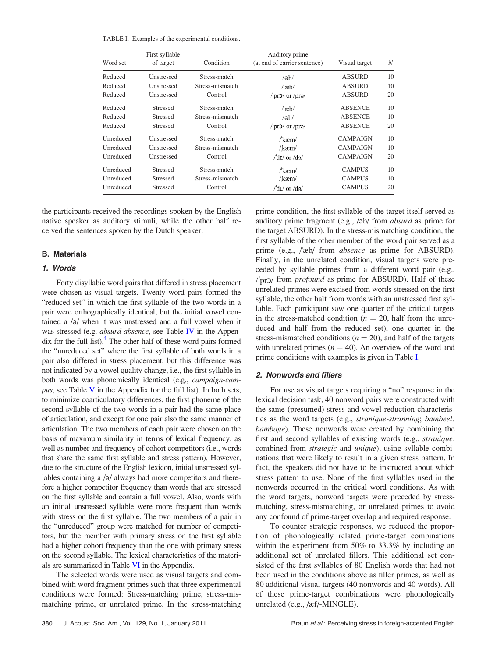TABLE I. Examples of the experimental conditions.

| Word set  | First syllable<br>of target | Condition       | Auditory prime<br>(at end of carrier sentence)  | Visual target   | N  |
|-----------|-----------------------------|-----------------|-------------------------------------------------|-----------------|----|
| Reduced   | Unstressed                  | Stress-match    | /eb/                                            | <b>ABSURD</b>   | 10 |
| Reduced   | Unstressed                  | Stress-mismatch | $\alpha$ / $\alpha$ /                           | <b>ABSURD</b>   | 10 |
| Reduced   | Unstressed                  | Control         | $/$ pro/ or /pro/                               | <b>ABSURD</b>   | 20 |
| Reduced   | <b>Stressed</b>             | Stress-match    | $\frac{1}{2}$ ab/                               | <b>ABSENCE</b>  | 10 |
| Reduced   | <b>Stressed</b>             | Stress-mismatch | /eb/                                            | <b>ABSENCE</b>  | 10 |
| Reduced   | <b>Stressed</b>             | Control         | $/$ pro/ or /pro/                               | <b>ABSENCE</b>  | 20 |
| Unreduced | Unstressed                  | Stress-match    | $\frac{\mu_{\text{k}}}{\sigma_{\text{m}}}$      | <b>CAMPAIGN</b> | 10 |
| Unreduced | Unstressed                  | Stress-mismatch | $\lambda$ kæm $\lambda$                         | <b>CAMPAIGN</b> | 10 |
| Unreduced | Unstressed                  | Control         | $d\mathbf{I}/\mathbf{a}r/\mathbf{d}\mathbf{a}/$ | <b>CAMPAIGN</b> | 20 |
| Unreduced | <b>Stressed</b>             | Stress-match    | $\frac{\mu_{\text{k}}}{\sigma_{\text{m}}}$      | <b>CAMPUS</b>   | 10 |
| Unreduced | <b>Stressed</b>             | Stress-mismatch | $\lambda$ k $\mathsf{km}/\mathsf{km}$           | <b>CAMPUS</b>   | 10 |
| Unreduced | <b>Stressed</b>             | Control         | $d$ I/ or $d\mathfrak{a}$                       | <b>CAMPUS</b>   | 20 |

the participants received the recordings spoken by the English native speaker as auditory stimuli, while the other half received the sentences spoken by the Dutch speaker.

#### B. Materials

## 1. Words

Forty disyllabic word pairs that differed in stress placement were chosen as visual targets. Twenty word pairs formed the "reduced set" in which the first syllable of the two words in a pair were orthographically identical, but the initial vowel contained a /@/ when it was unstressed and a full vowel when it was stressed (e.g. absurd-absence, see Table [IV](#page-10-0) in the Appen-dix for the full list).<sup>[4](#page-11-0)</sup> The other half of these word pairs formed the "unreduced set" where the first syllable of both words in a pair also differed in stress placement, but this difference was not indicated by a vowel quality change, i.e., the first syllable in both words was phonemically identical (e.g., campaign-cam $pus$ , see Table [V](#page-10-0) in the Appendix for the full list). In both sets, to minimize coarticulatory differences, the first phoneme of the second syllable of the two words in a pair had the same place of articulation, and except for one pair also the same manner of articulation. The two members of each pair were chosen on the basis of maximum similarity in terms of lexical frequency, as well as number and frequency of cohort competitors (i.e., words that share the same first syllable and stress pattern). However, due to the structure of the English lexicon, initial unstressed syllables containing a /ə/ always had more competitors and therefore a higher competitor frequency than words that are stressed on the first syllable and contain a full vowel. Also, words with an initial unstressed syllable were more frequent than words with stress on the first syllable. The two members of a pair in the "unreduced" group were matched for number of competitors, but the member with primary stress on the first syllable had a higher cohort frequency than the one with primary stress on the second syllable. The lexical characteristics of the materials are summarized in Table [VI](#page-10-0) in the Appendix.

The selected words were used as visual targets and combined with word fragment primes such that three experimental conditions were formed: Stress-matching prime, stress-mismatching prime, or unrelated prime. In the stress-matching prime condition, the first syllable of the target itself served as auditory prime fragment (e.g., /ab/ from *absurd* as prime for the target ABSURD). In the stress-mismatching condition, the first syllable of the other member of the word pair served as a prime (e.g., /'æb/ from absence as prime for ABSURD). Finally, in the unrelated condition, visual targets were preceded by syllable primes from a different word pair (e.g.,  $f'$ pr $\mathcal{D}/$  from *profound* as prime for ABSURD). Half of these unrelated primes were excised from words stressed on the first syllable, the other half from words with an unstressed first syllable. Each participant saw one quarter of the critical targets in the stress-matched condition ( $n = 20$ , half from the unreduced and half from the reduced set), one quarter in the stress-mismatched conditions ( $n = 20$ ), and half of the targets with unrelated primes ( $n = 40$ ). An overview of the word and prime conditions with examples is given in Table I.

#### 2. Nonwords and fillers

For use as visual targets requiring a "no" response in the lexical decision task, 40 nonword pairs were constructed with the same (presumed) stress and vowel reduction characteristics as the word targets (e.g., stranique-stranning; bambeel: bambage). These nonwords were created by combining the first and second syllables of existing words (e.g., stranique, combined from strategic and unique), using syllable combinations that were likely to result in a given stress pattern. In fact, the speakers did not have to be instructed about which stress pattern to use. None of the first syllables used in the nonwords occurred in the critical word conditions. As with the word targets, nonword targets were preceded by stressmatching, stress-mismatching, or unrelated primes to avoid any confound of prime-target overlap and required response.

To counter strategic responses, we reduced the proportion of phonologically related prime-target combinations within the experiment from 50% to 33.3% by including an additional set of unrelated fillers. This additional set consisted of the first syllables of 80 English words that had not been used in the conditions above as filler primes, as well as 80 additional visual targets (40 nonwords and 40 words). All of these prime-target combinations were phonologically unrelated (e.g., /æf/-MINGLE).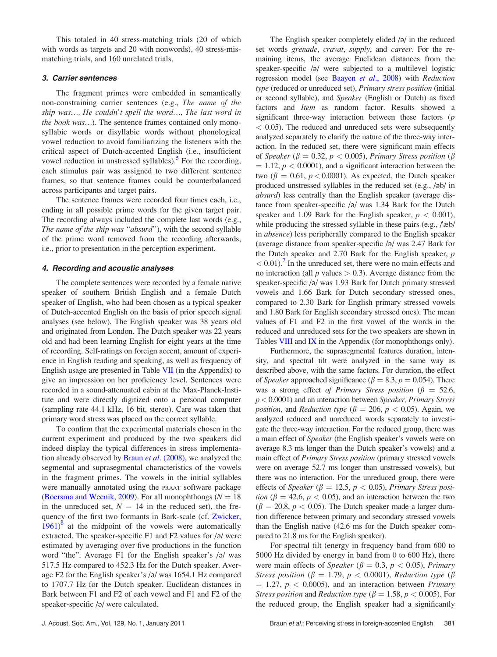This totaled in 40 stress-matching trials (20 of which with words as targets and 20 with nonwords), 40 stress-mismatching trials, and 160 unrelated trials.

### 3. Carrier sentences

The fragment primes were embedded in semantically non-constraining carrier sentences (e.g., The name of the ship was…, He couldn't spell the word…, The last word in the book was...). The sentence frames contained only monosyllabic words or disyllabic words without phonological vowel reduction to avoid familiarizing the listeners with the critical aspect of Dutch-accented English (i.e., insufficient vowel reduction in unstressed syllables).<sup>[5](#page-11-0)</sup> For the recording, each stimulus pair was assigned to two different sentence frames, so that sentence frames could be counterbalanced across participants and target pairs.

The sentence frames were recorded four times each, i.e., ending in all possible prime words for the given target pair. The recording always included the complete last words (e.g., The name of the ship was "absurd"), with the second syllable of the prime word removed from the recording afterwards, i.e., prior to presentation in the perception experiment.

### 4. Recording and acoustic analyses

The complete sentences were recorded by a female native speaker of southern British English and a female Dutch speaker of English, who had been chosen as a typical speaker of Dutch-accented English on the basis of prior speech signal analyses (see below). The English speaker was 38 years old and originated from London. The Dutch speaker was 22 years old and had been learning English for eight years at the time of recording. Self-ratings on foreign accent, amount of experience in English reading and speaking, as well as frequency of English usage are presented in Table [VII](#page-10-0) (in the Appendix) to give an impression on her proficiency level. Sentences were recorded in a sound-attenuated cabin at the Max-Planck-Institute and were directly digitized onto a personal computer (sampling rate 44.1 kHz, 16 bit, stereo). Care was taken that primary word stress was placed on the correct syllable.

To confirm that the experimental materials chosen in the current experiment and produced by the two speakers did indeed display the typical differences in stress implementa-tion already observed by Braun et al[. \(2008\),](#page-12-0) we analyzed the segmental and suprasegmental characteristics of the vowels in the fragment primes. The vowels in the initial syllables were manually annotated using the PRAAT software package ([Boersma and Weenik, 2009](#page-12-0)). For all monophthongs ( $N = 18$ ) in the unreduced set,  $N = 14$  in the reduced set), the frequency of the first two formants in Bark-scale (cf. [Zwicker,](#page-12-0)  $1961$ <sup>[6](#page-11-0)</sup> at the midpoint of the vowels were automatically extracted. The speaker-specific F1 and F2 values for  $\sqrt{q}$  were estimated by averaging over five productions in the function word "the". Average F1 for the English speaker's  $\sqrt{a}$  was 517.5 Hz compared to 452.3 Hz for the Dutch speaker. Average F2 for the English speaker's /ə/ was 1654.1 Hz compared to 1707.7 Hz for the Dutch speaker. Euclidean distances in Bark between F1 and F2 of each vowel and F1 and F2 of the speaker-specific /ə/ were calculated.

The English speaker completely elided  $\sqrt{a}$  in the reduced set words grenade, cravat, supply, and career. For the remaining items, the average Euclidean distances from the speaker-specific /ə/ were subjected to a multilevel logistic regression model (see [Baayen](#page-12-0) et al., 2008) with Reduction type (reduced or unreduced set), Primary stress position (initial or second syllable), and Speaker (English or Dutch) as fixed factors and *Item* as random factor. Results showed a significant three-way interaction between these factors (*p*  $<$  0.05). The reduced and unreduced sets were subsequently analyzed separately to clarify the nature of the three-way interaction. In the reduced set, there were significant main effects of Speaker ( $\beta = 0.32$ ,  $p < 0.005$ ), Primary Stress position ( $\beta$  $= 1.12, p < 0.0001$ , and a significant interaction between the two ( $\beta = 0.61$ ,  $p < 0.0001$ ). As expected, the Dutch speaker produced unstressed syllables in the reduced set (e.g., /ab/ in absurd) less centrally than the English speaker (average distance from speaker-specific  $\sqrt{9}$  was 1.34 Bark for the Dutch speaker and 1.09 Bark for the English speaker,  $p < 0.001$ ), while producing the stressed syllable in these pairs  $(e.g., /æb/$ in absence) less peripherally compared to the English speaker (average distance from speaker-specific /@/ was 2.47 Bark for the Dutch speaker and  $2.70$  Bark for the English speaker,  $p$  $< 0.01$ ).<sup>7</sup> In the unreduced set, there were no main effects and no interaction (all  $p$  values  $> 0.3$ ). Average distance from the speaker-specific /ə/ was 1.93 Bark for Dutch primary stressed vowels and 1.66 Bark for Dutch secondary stressed ones, compared to 2.30 Bark for English primary stressed vowels and 1.80 Bark for English secondary stressed ones). The mean values of F1 and F2 in the first vowel of the words in the reduced and unreduced sets for the two speakers are shown in Tables [VIII](#page-11-0) and [IX](#page-11-0) in the Appendix (for monophthongs only).

Furthermore, the suprasegmental features duration, intensity, and spectral tilt were analyzed in the same way as described above, with the same factors. For duration, the effect of Speaker approached significance ( $\beta = 8.3$ ,  $p = 0.054$ ). There was a strong effect of Primary Stress position ( $\beta = 52.6$ ,  $p < 0.0001$ ) and an interaction between Speaker, Primary Stress *position, and Reduction type* ( $\beta = 206$ ,  $p < 0.05$ ). Again, we analyzed reduced and unreduced words separately to investigate the three-way interaction. For the reduced group, there was a main effect of Speaker (the English speaker's vowels were on average 8.3 ms longer than the Dutch speaker's vowels) and a main effect of Primary Stress position (primary stressed vowels were on average 52.7 ms longer than unstressed vowels), but there was no interaction. For the unreduced group, there were effects of Speaker ( $\beta = 12.5$ ,  $p < 0.05$ ), Primary Stress position ( $\beta = 42.6$ ,  $p < 0.05$ ), and an interaction between the two  $(\beta = 20.8, p < 0.05)$ . The Dutch speaker made a larger duration difference between primary and secondary stressed vowels than the English native (42.6 ms for the Dutch speaker compared to 21.8 ms for the English speaker).

For spectral tilt (energy in frequency band from 600 to 5000 Hz divided by energy in band from 0 to 600 Hz), there were main effects of Speaker ( $\beta = 0.3$ ,  $p < 0.05$ ), Primary Stress position ( $\beta = 1.79$ ,  $p < 0.0001$ ), Reduction type ( $\beta$  $= 1.27, p < 0.0005$ , and an interaction between *Primary* Stress position and Reduction type ( $\beta = 1.58$ ,  $p < 0.005$ ). For the reduced group, the English speaker had a significantly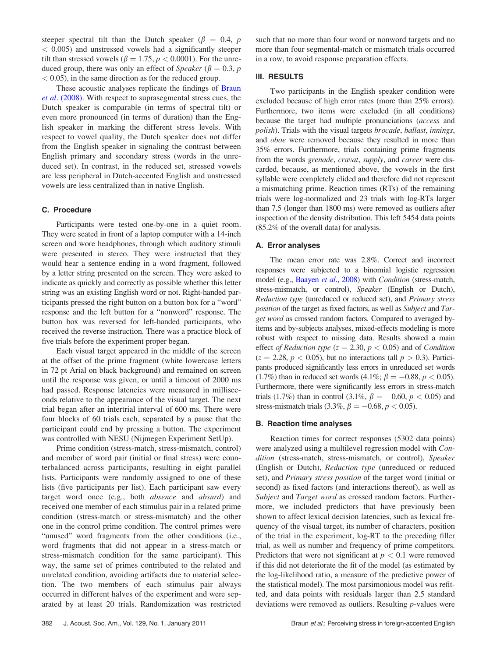steeper spectral tilt than the Dutch speaker ( $\beta = 0.4$ , p. < 0.005) and unstressed vowels had a significantly steeper tilt than stressed vowels ( $\beta = 1.75$ ,  $p < 0.0001$ ). For the unreduced group, there was only an effect of Speaker ( $\beta = 0.3$ , p  $<$  0.05), in the same direction as for the reduced group.

These acoustic analyses replicate the findings of [Braun](#page-12-0) et al[. \(2008\)](#page-12-0). With respect to suprasegmental stress cues, the Dutch speaker is comparable (in terms of spectral tilt) or even more pronounced (in terms of duration) than the English speaker in marking the different stress levels. With respect to vowel quality, the Dutch speaker does not differ from the English speaker in signaling the contrast between English primary and secondary stress (words in the unreduced set). In contrast, in the reduced set, stressed vowels are less peripheral in Dutch-accented English and unstressed vowels are less centralized than in native English.

## C. Procedure

Participants were tested one-by-one in a quiet room. They were seated in front of a laptop computer with a 14-inch screen and wore headphones, through which auditory stimuli were presented in stereo. They were instructed that they would hear a sentence ending in a word fragment, followed by a letter string presented on the screen. They were asked to indicate as quickly and correctly as possible whether this letter string was an existing English word or not. Right-handed participants pressed the right button on a button box for a "word" response and the left button for a "nonword" response. The button box was reversed for left-handed participants, who received the reverse instruction. There was a practice block of five trials before the experiment proper began.

Each visual target appeared in the middle of the screen at the offset of the prime fragment (white lowercase letters in 72 pt Arial on black background) and remained on screen until the response was given, or until a timeout of 2000 ms had passed. Response latencies were measured in milliseconds relative to the appearance of the visual target. The next trial began after an intertrial interval of 600 ms. There were four blocks of 60 trials each, separated by a pause that the participant could end by pressing a button. The experiment was controlled with NESU (Nijmegen Experiment SetUp).

Prime condition (stress-match, stress-mismatch, control) and member of word pair (initial or final stress) were counterbalanced across participants, resulting in eight parallel lists. Participants were randomly assigned to one of these lists (five participants per list). Each participant saw every target word once (e.g., both absence and absurd) and received one member of each stimulus pair in a related prime condition (stress-match or stress-mismatch) and the other one in the control prime condition. The control primes were "unused" word fragments from the other conditions (i.e., word fragments that did not appear in a stress-match or stress-mismatch condition for the same participant). This way, the same set of primes contributed to the related and unrelated condition, avoiding artifacts due to material selection. The two members of each stimulus pair always occurred in different halves of the experiment and were separated by at least 20 trials. Randomization was restricted such that no more than four word or nonword targets and no more than four segmental-match or mismatch trials occurred in a row, to avoid response preparation effects.

## III. RESULTS

Two participants in the English speaker condition were excluded because of high error rates (more than 25% errors). Furthermore, two items were excluded (in all conditions) because the target had multiple pronunciations (access and polish). Trials with the visual targets brocade, ballast, innings, and oboe were removed because they resulted in more than 35% errors. Furthermore, trials containing prime fragments from the words grenade, cravat, supply, and career were discarded, because, as mentioned above, the vowels in the first syllable were completely elided and therefore did not represent a mismatching prime. Reaction times (RTs) of the remaining trials were log-normalized and 23 trials with log-RTs larger than 7.5 (longer than 1800 ms) were removed as outliers after inspection of the density distribution. This left 5454 data points (85.2% of the overall data) for analysis.

## A. Error analyses

The mean error rate was 2.8%. Correct and incorrect responses were subjected to a binomial logistic regression model (e.g., [Baayen](#page-12-0) et al., 2008) with Condition (stress-match, stress-mismatch, or control), Speaker (English or Dutch), Reduction type (unreduced or reduced set), and Primary stress position of the target as fixed factors, as well as Subject and Target word as crossed random factors. Compared to averaged byitems and by-subjects analyses, mixed-effects modeling is more robust with respect to missing data. Results showed a main effect of Reduction type ( $z = 2.30$ ,  $p < 0.05$ ) and of Condition  $(z = 2.28, p < 0.05)$ , but no interactions (all  $p > 0.3$ ). Participants produced significantly less errors in unreduced set words (1.7%) than in reduced set words (4.1%;  $\beta = -0.88, p < 0.05$ ). Furthermore, there were significantly less errors in stress-match trials (1.7%) than in control (3.1%,  $\beta = -0.60, p < 0.05$ ) and stress-mismatch trials  $(3.3\%, \beta = -0.68, p < 0.05)$ .

#### B. Reaction time analyses

Reaction times for correct responses (5302 data points) were analyzed using a multilevel regression model with Condition (stress-match, stress-mismatch, or control), Speaker (English or Dutch), Reduction type (unreduced or reduced set), and Primary stress position of the target word (initial or second) as fixed factors (and interactions thereof), as well as Subject and Target word as crossed random factors. Furthermore, we included predictors that have previously been shown to affect lexical decision latencies, such as lexical frequency of the visual target, its number of characters, position of the trial in the experiment, log-RT to the preceding filler trial, as well as number and frequency of prime competitors. Predictors that were not significant at  $p < 0.1$  were removed if this did not deteriorate the fit of the model (as estimated by the log-likelihood ratio, a measure of the predictive power of the statistical model). The most parsimonious model was refitted, and data points with residuals larger than 2.5 standard deviations were removed as outliers. Resulting p-values were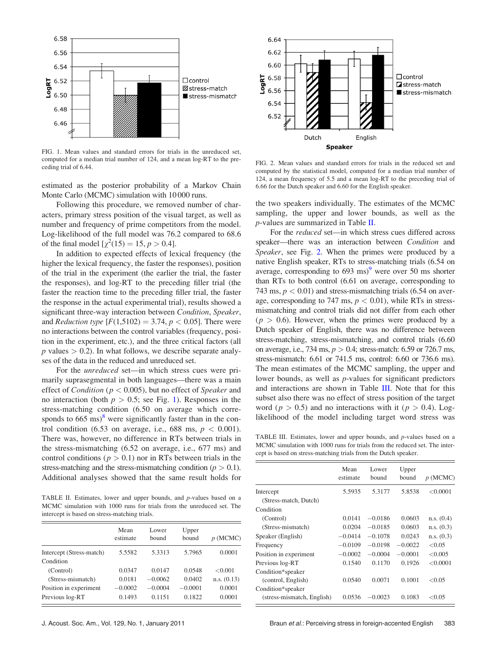

FIG. 1. Mean values and standard errors for trials in the unreduced set, computed for a median trial number of 124, and a mean log-RT to the pre-

estimated as the posterior probability of a Markov Chain Monte Carlo (MCMC) simulation with 10 000 runs.

Following this procedure, we removed number of characters, primary stress position of the visual target, as well as number and frequency of prime competitors from the model. Log-likelihood of the full model was 76.2 compared to 68.6 of the final model  $[\chi^2(15) = 15, p > 0.4]$ .

In addition to expected effects of lexical frequency (the higher the lexical frequency, the faster the responses), position of the trial in the experiment (the earlier the trial, the faster the responses), and log-RT to the preceding filler trial (the faster the reaction time to the preceding filler trial, the faster the response in the actual experimental trial), results showed a significant three-way interaction between Condition, Speaker, and Reduction type  $[F(1,5102) = 3.74, p < 0.05]$ . There were no interactions between the control variables (frequency, position in the experiment, etc.), and the three critical factors (all  $p$  values  $> 0.2$ ). In what follows, we describe separate analyses of the data in the reduced and unreduced set.

For the unreduced set—in which stress cues were primarily suprasegmental in both languages—there was a main effect of *Condition* ( $p < 0.005$ ), but no effect of *Speaker* and no interaction (both  $p > 0.5$ ; see Fig. 1). Responses in the stress-matching condition (6.50 on average which corresponds to  $665 \text{ ms}$ <sup>[8](#page-11-0)</sup> were significantly faster than in the control condition (6.53 on average, i.e., 688 ms,  $p < 0.001$ ). There was, however, no difference in RTs between trials in the stress-mismatching (6.52 on average, i.e., 677 ms) and control conditions ( $p > 0.1$ ) nor in RTs between trials in the stress-matching and the stress-mismatching condition ( $p > 0.1$ ). Additional analyses showed that the same result holds for

TABLE II. Estimates, lower and upper bounds, and p-values based on a MCMC simulation with 1000 runs for trials from the unreduced set. The intercept is based on stress-matching trials.

|                                       | Mean<br>estimate | Lower<br>bound | Upper<br>bound | $p$ (MCMC)  |
|---------------------------------------|------------------|----------------|----------------|-------------|
| Intercept (Stress-match)<br>Condition | 5.5582           | 5.3313         | 5.7965         | 0.0001      |
| (Control)                             | 0.0347           | 0.0147         | 0.0548         | < 0.001     |
| (Stress-mismatch)                     | 0.0181           | $-0.0062$      | 0.0402         | n.s. (0.13) |
| Position in experiment                | $-0.0002$        | $-0.0004$      | $-0.0001$      | 0.0001      |
| Previous log-RT                       | 0.1493           | 0.1151         | 0.1822         | 0.0001      |



FIG. 2. Mean values and standard errors for trials in the reduced set and computed by the statistical model, computed for a median trial number of 124, a mean frequency of 5.5 and a mean log-RT to the preceding trial of 6.66 for the Dutch speaker and 6.60 for the English speaker.

the two speakers individually. The estimates of the MCMC sampling, the upper and lower bounds, as well as the  $p$ -values are summarized in Table II.

For the *reduced* set—in which stress cues differed across speaker—there was an interaction between Condition and Speaker, see Fig. 2. When the primes were produced by a native English speaker, RTs to stress-matching trials (6.54 on average, corresponding to  $693 \text{ ms}$ <sup>9</sup> were over 50 ms shorter than RTs to both control (6.61 on average, corresponding to 743 ms,  $p < 0.01$ ) and stress-mismatching trials (6.54 on average, corresponding to 747 ms,  $p < 0.01$ ), while RTs in stressmismatching and control trials did not differ from each other  $(p > 0.6)$ . However, when the primes were produced by a Dutch speaker of English, there was no difference between stress-matching, stress-mismatching, and control trials (6.60 on average, i.e., 734 ms,  $p > 0.4$ ; stress-match: 6.59 or 726.7 ms, stress-mismatch: 6.61 or 741.5 ms, control: 6.60 or 736.6 ms). The mean estimates of the MCMC sampling, the upper and lower bounds, as well as p-values for significant predictors and interactions are shown in Table III. Note that for this subset also there was no effect of stress position of the target word ( $p > 0.5$ ) and no interactions with it ( $p > 0.4$ ). Loglikelihood of the model including target word stress was

TABLE III. Estimates, lower and upper bounds, and p-values based on a MCMC simulation with 1000 runs for trials from the reduced set. The intercept is based on stress-matching trials from the Dutch speaker.

|                                                 | Mean<br>estimate | Lower<br>bound | Upper<br>bound | $p$ (MCMC) |
|-------------------------------------------------|------------------|----------------|----------------|------------|
| Intercept                                       | 5.5935           | 5.3177         | 5.8538         | < 0.0001   |
| (Stress-match, Dutch)                           |                  |                |                |            |
| Condition                                       |                  |                |                |            |
| (Control)                                       | 0.0141           | $-0.0186$      | 0.0603         | n.s. (0.4) |
| (Stress-mismatch)                               | 0.0204           | $-0.0185$      | 0.0603         | n.s. (0.3) |
| Speaker (English)                               | $-0.0414$        | $-0.1078$      | 0.0243         | n.s. (0.3) |
| Frequency                                       | $-0.0109$        | $-0.0198$      | $-0.0022$      | < 0.05     |
| Position in experiment                          | $-0.0002$        | $-0.0004$      | $-0.0001$      | < 0.005    |
| Previous log-RT                                 | 0.1540           | 0.1170         | 0.1926         | < 0.0001   |
| Condition*speaker<br>(control, English)         | 0.0540           | 0.0071         | 0.1001         | < 0.05     |
| Condition*speaker<br>(stress-mismatch, English) | 0.0536           | $-0.0023$      | 0.1083         | < 0.05     |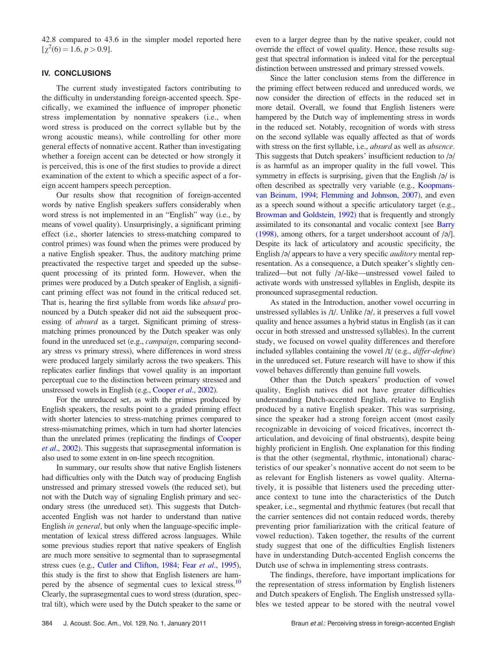42.8 compared to 43.6 in the simpler model reported here  $[\chi^2(6) = 1.6, p > 0.9].$ 

## IV. CONCLUSIONS

The current study investigated factors contributing to the difficulty in understanding foreign-accented speech. Specifically, we examined the influence of improper phonetic stress implementation by nonnative speakers (i.e., when word stress is produced on the correct syllable but by the wrong acoustic means), while controlling for other more general effects of nonnative accent. Rather than investigating whether a foreign accent can be detected or how strongly it is perceived, this is one of the first studies to provide a direct examination of the extent to which a specific aspect of a foreign accent hampers speech perception.

Our results show that recognition of foreign-accented words by native English speakers suffers considerably when word stress is not implemented in an "English" way (i.e., by means of vowel quality). Unsurprisingly, a significant priming effect (i.e., shorter latencies to stress-matching compared to control primes) was found when the primes were produced by a native English speaker. Thus, the auditory matching prime preactivated the respective target and speeded up the subsequent processing of its printed form. However, when the primes were produced by a Dutch speaker of English, a significant priming effect was not found in the critical reduced set. That is, hearing the first syllable from words like absurd pronounced by a Dutch speaker did not aid the subsequent processing of absurd as a target. Significant priming of stressmatching primes pronounced by the Dutch speaker was only found in the unreduced set (e.g., campaign, comparing secondary stress vs primary stress), where differences in word stress were produced largely similarly across the two speakers. This replicates earlier findings that vowel quality is an important perceptual cue to the distinction between primary stressed and unstressed vowels in English (e.g., [Cooper](#page-12-0) et al., 2002).

For the unreduced set, as with the primes produced by English speakers, the results point to a graded priming effect with shorter latencies to stress-matching primes compared to stress-mismatching primes, which in turn had shorter latencies than the unrelated primes (replicating the findings of [Cooper](#page-12-0) et al[., 2002](#page-12-0)). This suggests that suprasegmental information is also used to some extent in on-line speech recognition.

In summary, our results show that native English listeners had difficulties only with the Dutch way of producing English unstressed and primary stressed vowels (the reduced set), but not with the Dutch way of signaling English primary and secondary stress (the unreduced set). This suggests that Dutchaccented English was not harder to understand than native English in general, but only when the language-specific implementation of lexical stress differed across languages. While some previous studies report that native speakers of English are much more sensitive to segmental than to suprasegmental stress cues (e.g., [Cutler and Clifton, 1984](#page-12-0); Fear et al[., 1995](#page-12-0)), this study is the first to show that English listeners are ham-pered by the absence of segmental cues to lexical stress.<sup>[10](#page-12-0)</sup> Clearly, the suprasegmental cues to word stress (duration, spectral tilt), which were used by the Dutch speaker to the same or even to a larger degree than by the native speaker, could not override the effect of vowel quality. Hence, these results suggest that spectral information is indeed vital for the perceptual distinction between unstressed and primary stressed vowels.

Since the latter conclusion stems from the difference in the priming effect between reduced and unreduced words, we now consider the direction of effects in the reduced set in more detail. Overall, we found that English listeners were hampered by the Dutch way of implementing stress in words in the reduced set. Notably, recognition of words with stress on the second syllable was equally affected as that of words with stress on the first syllable, i.e., absurd as well as absence. This suggests that Dutch speakers' insufficient reduction to  $\sqrt{2}$ is as harmful as an improper quality in the full vowel. This symmetry in effects is surprising, given that the English  $\sqrt{a}$  is often described as spectrally very variable (e.g., [Koopmans](#page-12-0)[van Beinum, 1994](#page-12-0); [Flemming and Johnson, 2007\)](#page-12-0), and even as a speech sound without a specific articulatory target (e.g., [Browman and Goldstein, 1992\)](#page-12-0) that is frequently and strongly assimilated to its consonantal and vocalic context [see [Barry](#page-12-0) [\(1998\),](#page-12-0) among others, for a target undershoot account of  $\sqrt{a}$ . Despite its lack of articulatory and acoustic specificity, the English /ə/ appears to have a very specific *auditory* mental representation. As a consequence, a Dutch speaker's slightly centralized—but not fully /@/-like—unstressed vowel failed to activate words with unstressed syllables in English, despite its pronounced suprasegmental reduction.

As stated in the Introduction, another vowel occurring in unstressed syllables is  $/I$ . Unlike  $\sqrt{9}$ , it preserves a full vowel quality and hence assumes a hybrid status in English (as it can occur in both stressed and unstressed syllables). In the current study, we focused on vowel quality differences and therefore included syllables containing the vowel  $\pi$  (e.g., *differ-define*) in the unreduced set. Future research will have to show if this vowel behaves differently than genuine full vowels.

Other than the Dutch speakers' production of vowel quality, English natives did not have greater difficulties understanding Dutch-accented English, relative to English produced by a native English speaker. This was surprising, since the speaker had a strong foreign accent (most easily recognizable in devoicing of voiced fricatives, incorrect tharticulation, and devoicing of final obstruents), despite being highly proficient in English. One explanation for this finding is that the other (segmental, rhythmic, intonational) characteristics of our speaker's nonnative accent do not seem to be as relevant for English listeners as vowel quality. Alternatively, it is possible that listeners used the preceding utterance context to tune into the characteristics of the Dutch speaker, i.e., segmental and rhythmic features (but recall that the carrier sentences did not contain reduced words, thereby preventing prior familiarization with the critical feature of vowel reduction). Taken together, the results of the current study suggest that one of the difficulties English listeners have in understanding Dutch-accented English concerns the Dutch use of schwa in implementing stress contrasts.

The findings, therefore, have important implications for the representation of stress information by English listeners and Dutch speakers of English. The English unstressed syllables we tested appear to be stored with the neutral vowel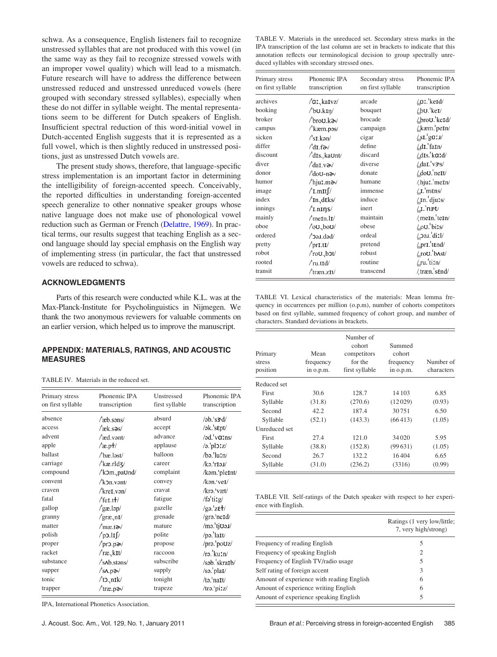<span id="page-10-0"></span>schwa. As a consequence, English listeners fail to recognize unstressed syllables that are not produced with this vowel (in the same way as they fail to recognize stressed vowels with an improper vowel quality) which will lead to a mismatch. Future research will have to address the difference between unstressed reduced and unstressed unreduced vowels (here grouped with secondary stressed syllables), especially when these do not differ in syllable weight. The mental representations seem to be different for Dutch speakers of English. Insufficient spectral reduction of this word-initial vowel in Dutch-accented English suggests that it is represented as a full vowel, which is then slightly reduced in unstressed positions, just as unstressed Dutch vowels are.

The present study shows, therefore, that language-specific stress implementation is an important factor in determining the intelligibility of foreign-accented speech. Conceivably, the reported difficulties in understanding foreign-accented speech generalize to other nonnative speaker groups whose native language does not make use of phonological vowel reduction such as German or French [\(Delattre, 1969\)](#page-12-0). In practical terms, our results suggest that teaching English as a second language should lay special emphasis on the English way of implementing stress (in particular, the fact that unstressed vowels are reduced to schwa).

### ACKNOWLEDGMENTS

Parts of this research were conducted while K.L. was at the Max-Planck-Institute for Psycholinguistics in Nijmegen. We thank the two anonymous reviewers for valuable comments on an earlier version, which helped us to improve the manuscript.

## APPENDIX: MATERIALS, RATINGS, AND ACOUSTIC MEASURES

TABLE IV. Materials in the reduced set.

| Primary stress<br>on first syllable | Phonemic IPA<br>transcription                 | <b>Unstressed</b><br>first syllable | Phonemic IPA<br>transcription                  |
|-------------------------------------|-----------------------------------------------|-------------------------------------|------------------------------------------------|
| absence                             | $\sqrt{ab}$ sans/                             | absurd                              | $/ab$ sxd/                                     |
| access                              | $/\text{æk}$ sas/                             | accept                              | /ək.'s Ept/                                    |
| advent                              | /ˈæd.vənt/                                    | advance                             | $/$ ad. $\overline{\ }$ va $\overline{\ }$ ns/ |
| apple                               | $\sqrt{2e}$ .pt/                              | applause                            | (a, 'p12z)                                     |
| ballast                             | $l$ bæ.ləst $l$                               | balloon                             | $/$ ha. $'$ lu $:n/$                           |
| carriage                            | /kæ.rIdʒ/                                     | career                              | $/ka$ 'rīaJ $/$                                |
| compound                            | /kompaond/                                    | complaint                           | /kəm.'pleInt/                                  |
| convent                             | $\sqrt{k}$ Cn.vant/                           | convey                              | $/kon$ ver/                                    |
| craven                              | $\ell$ kret.van $\ell$                        | cravat                              | /kra.'væt/                                     |
| fatal                               | $\sqrt{\text{feI}.t}$                         | fatigue                             | /fəˈtiːg/                                      |
| gallop                              | $\frac{1}{2}$ gæ.ləp/                         | gazelle                             | $\gamma$ gə.'zε $\pm$                          |
| granny                              | $\sqrt{grx}$ , nI                             | grenade                             | $\gamma$ grə.'ne <b>I</b> d                    |
| matter                              | $\theta$ mæ.t $\partial$                      | mature                              | /mə.ˈtjʊəɹ/                                    |
| polish                              | / $\ln$ Cq $\ell$                             | polite                              | / $p$ ə. la $p$                                |
| proper                              | $/$ pro.pa $/$                                | propose                             | /pra.'poUz/                                    |
| racket                              | $\pi$ <sub>r</sub> $\mathbf{r}$ . k <b>It</b> | raccoon                             | $\pi$ kutn/                                    |
| substance                           | $\sqrt{\text{s}}$ Ab.stans/                   | subscribe                           | /səb. skratb/                                  |
| supper                              | /'s∧.pa√                                      | supply                              | /sə. pla <b>I</b> /                            |
| tonic                               | /tɔ.,nɪk/                                     | tonight                             | $/t\varphi$ , 'naIt $/$                        |
| trapper                             | /træ.pa/                                      | trapeze                             | /tra.'piːz/                                    |

IPA, International Phonetics Association.

TABLE V. Materials in the unreduced set. Secondary stress marks in the IPA transcription of the last column are set in brackets to indicate that this annotation reflects our terminological decision to group spectrally unreduced syllables with secondary stressed ones.

| Primary stress<br>on first syllable | Phonemic IPA<br>transcription   | Secondary stress<br>on first syllable | Phonemic IPA<br>transcription        |
|-------------------------------------|---------------------------------|---------------------------------------|--------------------------------------|
| archives                            | /ˈɑː. kaɪvz/                    | arcade                                | $\sqrt{a}$ .'keId/                   |
| booking                             | $\theta$ bu.kɪŋ/                | bouquet                               | $\sqrt{b}$ U.'keI/                   |
| broker                              | $/$ bro $U$ .k $\partial$       | brocade                               | brou.'keId/                          |
| campus                              | /'kæm.pəs/                      | campaign                              | $\sqrt{\omega}$ kæm.'peIn/           |
| sicken                              | $\sqrt{\text{ST.kon}}$          | cigar                                 | $\sqrt{S}$ st.'ga: $1/$              |
| differ                              | $d$ <b>I</b> .fa $\sqrt{d}$     | define                                | $\sqrt{d}$ <b>I</b> . fa <b>I</b> n/ |
| discount                            | /'dɪs.,kaʊnt/                   | discard                               | $\sqrt{d}$ Is.'kaːd/                 |
| diver                               | $\theta$ dan.və $\theta$        | diverse                               | $\sin'$ v3s/                         |
| donor                               | $/$ do <b>U</b> -na $\sqrt$     | donate                                | $\sqrt{0}$ do $U \cdot$ neIt/        |
| humor                               | /ˈhjuː.mə/                      | humane                                | $/$ hjuː 'meɪn/                      |
| image                               | $\sqrt{T}$ .mIt $\int$          | immense                               | $\sqrt{\mathbf{r}}$ . mEns/          |
| index                               | /'In. <sub>d</sub> εks/         | induce                                | /tn. djuts/                          |
| innings                             | $T$ .nɪŋs/                      | inert                                 | $\sqrt{\mathbf{u}}$ . 'n s t/        |
| mainly                              | $\sqrt{\text{mem.}}\mathbf{I}$  | maintain                              | $/$ meIn. teIn/                      |
| oboe                                | /'oʊ.,boʊ/                      | obese                                 | $\omega$ <sup>'</sup> bits/          |
| ordered                             | $\lambda$ beb. Le $\mathsf{c}'$ | ordeal                                | $\lambda$ izib'.<br>Lec              |
| pretty                              | $/$ pr <b>I</b> .t <b>I</b> $/$ | pretend                               | $\sqrt{p}$ pri.'t End/               |
| robot                               | $/$ ro $U,$ b $U$               | robust                                | $\sqrt{2}$ rou. bast/                |
| rooted                              | $\ln \frac{1}{d}$               | routine                               | $\sqrt{\omega}$ ru. tiːn/            |
| transit                             | /ˈtræn.zɪt/                     | transcend                             | $/$ træn.'s End/                     |

TABLE VI. Lexical characteristics of the materials: Mean lemma frequency in occurrences per million (o.p.m), number of cohorts competitors based on first syllable, summed frequency of cohort group, and number of characters. Standard deviations in brackets.

| Primary<br>stress<br>position | Mean<br>frequency<br>in o.p.m. | Number of<br>cohort<br>competitors<br>for the<br>first syllable | Summed<br>cohort<br>frequency<br>in o.p.m. | Number of<br>characters |
|-------------------------------|--------------------------------|-----------------------------------------------------------------|--------------------------------------------|-------------------------|
| Reduced set                   |                                |                                                                 |                                            |                         |
| First                         | 30.6                           | 128.7                                                           | 14 103                                     | 6.85                    |
| Syllable                      | (31.8)                         | (270.6)                                                         | (12029)                                    | (0.93)                  |
| Second                        | 42.2                           | 187.4                                                           | 30751                                      | 6.50                    |
| Syllable                      | (52.1)                         | (143.3)                                                         | (66413)                                    | (1.05)                  |
| Unreduced set                 |                                |                                                                 |                                            |                         |
| First                         | 27.4                           | 121.0                                                           | 34 0 20                                    | 5.95                    |
| Syllable                      | (38.8)                         | (152.8)                                                         | (99631)                                    | (1.05)                  |
| Second                        | 26.7                           | 132.2                                                           | 16404                                      | 6.65                    |
| Syllable                      | (31.0)                         | (236.2)                                                         | (3316)                                     | (0.99)                  |

TABLE VII. Self-ratings of the Dutch speaker with respect to her experience with English.

|                                           | Ratings (1 very low/little;<br>7, very high/strong) |
|-------------------------------------------|-----------------------------------------------------|
| Frequency of reading English              | 5                                                   |
| Frequency of speaking English             | 2                                                   |
| Frequency of English TV/radio usage       | 5                                                   |
| Self rating of foreign accent             | 3                                                   |
| Amount of experience with reading English | 6                                                   |
| Amount of experience writing English      | 6                                                   |
| Amount of experience speaking English     | 5                                                   |
|                                           |                                                     |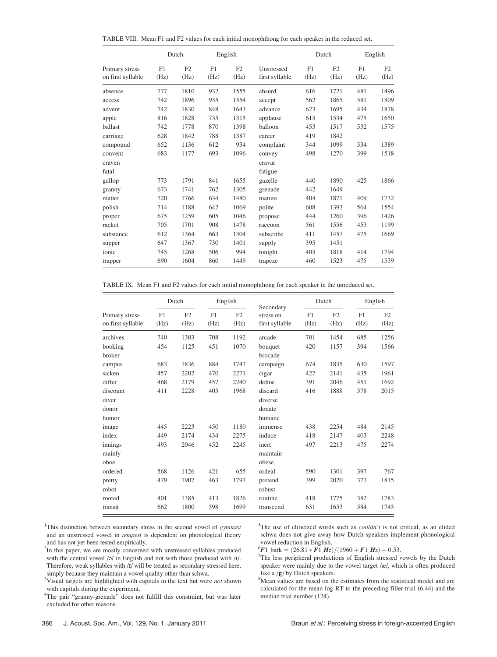<span id="page-11-0"></span>TABLE VIII. Mean F1 and F2 values for each initial monophthong for each speaker in the reduced set.

|                                     |            | Dutch      |            | English    |                              |            | Dutch      |            | English    |
|-------------------------------------|------------|------------|------------|------------|------------------------------|------------|------------|------------|------------|
| Primary stress<br>on first syllable | F1<br>(Hz) | F2<br>(Hz) | F1<br>(Hz) | F2<br>(Hz) | Unstressed<br>first syllable | F1<br>(Hz) | F2<br>(Hz) | F1<br>(Hz) | F2<br>(Hz) |
| absence                             | 777        | 1810       | 932        | 1555       | absurd                       | 616        | 1721       | 481        | 1496       |
| access                              | 742        | 1896       | 935        | 1554       | accept                       | 562        | 1865       | 581        | 1809       |
| advent                              | 742        | 1830       | 848        | 1643       | advance                      | 623        | 1695       | 434        | 1878       |
| apple                               | 816        | 1828       | 735        | 1315       | applause                     | 615        | 1534       | 475        | 1650       |
| ballast                             | 742        | 1778       | 870        | 1398       | balloon                      | 453        | 1517       | 532        | 1575       |
| carriage                            | 628        | 1842       | 788        | 1387       | career                       | 419        | 1842       |            |            |
| compound                            | 652        | 1136       | 612        | 934        | complaint                    | 344        | 1099       | 334        | 1389       |
| convent                             | 683        | 1177       | 693        | 1096       | convey                       | 498        | 1270       | 399        | 1518       |
| craven                              |            |            |            |            | cravat                       |            |            |            |            |
| fatal                               |            |            |            |            | fatigue                      |            |            |            |            |
| gallop                              | 773        | 1791       | 841        | 1655       | gazelle                      | 440        | 1890       | 425        | 1866       |
| granny                              | 673        | 1741       | 762        | 1305       | grenade                      | 442        | 1649       |            |            |
| matter                              | 720        | 1766       | 634        | 1480       | mature                       | 404        | 1871       | 409        | 1732       |
| polish                              | 714        | 1188       | 642        | 1069       | polite                       | 608        | 1393       | 564        | 1554       |
| proper                              | 675        | 1259       | 605        | 1046       | propose                      | 444        | 1260       | 396        | 1426       |
| racket                              | 705        | 1701       | 908        | 1478       | raccoon                      | 561        | 1556       | 453        | 1199       |
| substance                           | 612        | 1364       | 663        | 1304       | subscribe                    | 411        | 1457       | 475        | 1669       |
| supper                              | 647        | 1367       | 730        | 1401       | supply                       | 395        | 1431       |            |            |
| tonic                               | 745        | 1268       | 506        | 994        | tonight                      | 405        | 1818       | 414        | 1794       |
| trapper                             | 690        | 1604       | 860        | 1449       | trapeze                      | 460        | 1523       | 475        | 1539       |

TABLE IX. Mean F1 and F2 values for each initial monophthong for each speaker in the unreduced set.

|                                     | Dutch      |            |            | English    | Secondary                   |            | Dutch      |            | English    |  |
|-------------------------------------|------------|------------|------------|------------|-----------------------------|------------|------------|------------|------------|--|
| Primary stress<br>on first syllable | F1<br>(Hz) | F2<br>(Hz) | F1<br>(Hz) | F2<br>(Hz) | stress on<br>first syllable | F1<br>(Hz) | F2<br>(Hz) | F1<br>(Hz) | F2<br>(Hz) |  |
| archives                            | 740        | 1303       | 708        | 1192       | arcade                      | 701        | 1454       | 685        | 1256       |  |
| booking                             | 454        | 1125       | 451        | 1070       | bouquet                     | 420        | 1157       | 394        | 1566       |  |
| broker                              |            |            |            |            | brocade                     |            |            |            |            |  |
| campus                              | 683        | 1836       | 884        | 1747       | campaign                    | 674        | 1835       | 630        | 1597       |  |
| sicken                              | 457        | 2202       | 470        | 2271       | cigar                       | 427        | 2141       | 435        | 1961       |  |
| differ                              | 468        | 2179       | 457        | 2240       | define                      | 391        | 2046       | 451        | 1692       |  |
| discount                            | 411        | 2228       | 405        | 1968       | discard                     | 416        | 1888       | 378        | 2015       |  |
| diver                               |            |            |            |            | diverse                     |            |            |            |            |  |
| donor                               |            |            |            |            | donate                      |            |            |            |            |  |
| humor                               |            |            |            |            | humane                      |            |            |            |            |  |
| image                               | 445        | 2223       | 450        | 1180       | immense                     | 438        | 2254       | 484        | 2145       |  |
| index                               | 449        | 2174       | 434        | 2275       | induce                      | 418        | 2147       | 403        | 2248       |  |
| innings                             | 493        | 2046       | 452        | 2245       | inert                       | 497        | 2213       | 475        | 2274       |  |
| mainly                              |            |            |            |            | maintain                    |            |            |            |            |  |
| oboe                                |            |            |            |            | obese                       |            |            |            |            |  |
| ordered                             | 568        | 1126       | 421        | 655        | ordeal                      | 590        | 1301       | 397        | 767        |  |
| pretty                              | 479        | 1907       | 463        | 1797       | pretend                     | 399        | 2020       | 377        | 1815       |  |
| robot                               |            |            |            |            | robust                      |            |            |            |            |  |
| rooted                              | 401        | 1385       | 413        | 1826       | routine                     | 418        | 1775       | 382        | 1783       |  |
| transit                             | 662        | 1800       | 598        | 1699       | transcend                   | 631        | 1653       | 584        | 1745       |  |

<sup>1</sup>This distinction between secondary stress in the second vowel of gymnast and an unstressed vowel in tempest is dependent on phonological theory and has not yet been tested empirically.

<sup>2</sup>In this paper, we are mostly concerned with unstressed syllables produced with the central vowel  $\sqrt{a}$  in English and not with those produced with  $\sqrt{I}$ . Therefore, weak syllables with /I/ will be treated as secondary stressed here, simply because they maintain a vowel quality other than schwa.

 $3$ Visual targets are highlighted with capitals in the text but were *not* shown with capitals during the experiment.

<sup>4</sup>The pair "granny-grenade" does not fulfill this constraint, but was later excluded for other reasons.

<sup>5</sup>The use of cliticized words such as *couldn't* is not critical, as an elided schwa does not give away how Dutch speakers implement phonological vowel reduction in English.

 ${}^{6}F1$  bark =  $(26.81 * F1 \text{ Hz})/(1960 + F1 \text{ Hz}) - 0.53$ .<br><sup>7</sup>The less peripheral productions of English stressed.

The less peripheral productions of English stressed vowels by the Dutch speaker were mainly due to the vowel target /æ/, which is often produced like a  $\sqrt{\epsilon}$  by Dutch speakers.

<sup>8</sup>Mean values are based on the estimates from the statistical model and are calculated for the mean log-RT to the preceding filler trial (6.44) and the median trial number (124).